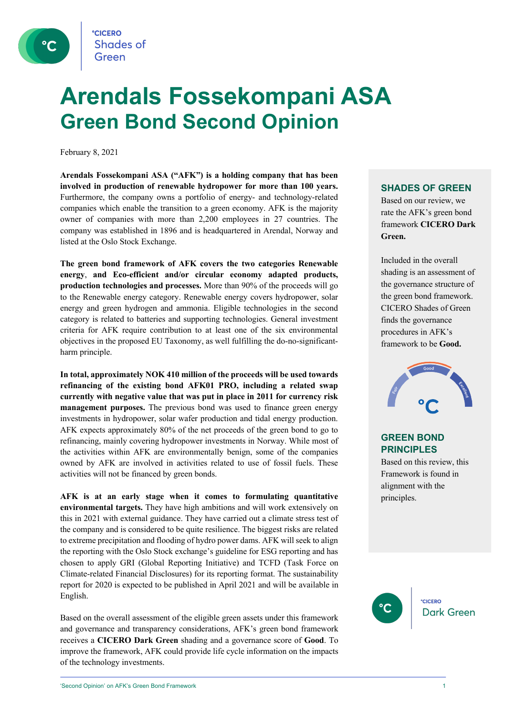

## **Arendals Fossekompani ASA Green Bond Second Opinion**

February 8, 2021

**Arendals Fossekompani ASA ("AFK") is a holding company that has been involved in production of renewable hydropower for more than 100 years.** Furthermore, the company owns a portfolio of energy- and technology-related companies which enable the transition to a green economy. AFK is the majority owner of companies with more than 2,200 employees in 27 countries. The company was established in 1896 and is headquartered in Arendal, Norway and listed at the Oslo Stock Exchange.

**The green bond framework of AFK covers the two categories Renewable energy**, **and Eco-efficient and/or circular economy adapted products, production technologies and processes.** More than 90% of the proceeds will go to the Renewable energy category. Renewable energy covers hydropower, solar energy and green hydrogen and ammonia. Eligible technologies in the second category is related to batteries and supporting technologies. General investment criteria for AFK require contribution to at least one of the six environmental objectives in the proposed EU Taxonomy, as well fulfilling the do-no-significantharm principle.

**In total, approximately NOK 410 million of the proceeds will be used towards refinancing of the existing bond AFK01 PRO, including a related swap currently with negative value that was put in place in 2011 for currency risk management purposes.** The previous bond was used to finance green energy investments in hydropower, solar wafer production and tidal energy production. AFK expects approximately 80% of the net proceeds of the green bond to go to refinancing, mainly covering hydropower investments in Norway. While most of the activities within AFK are environmentally benign, some of the companies owned by AFK are involved in activities related to use of fossil fuels. These activities will not be financed by green bonds.

**AFK is at an early stage when it comes to formulating quantitative environmental targets.** They have high ambitions and will work extensively on this in 2021 with external guidance. They have carried out a climate stress test of the company and is considered to be quite resilience. The biggest risks are related to extreme precipitation and flooding of hydro power dams. AFK will seek to align the reporting with the Oslo Stock exchange's guideline for ESG reporting and has chosen to apply GRI (Global Reporting Initiative) and TCFD (Task Force on Climate-related Financial Disclosures) for its reporting format. The sustainability report for 2020 is expected to be published in April 2021 and will be available in English.

Based on the overall assessment of the eligible green assets under this framework and governance and transparency considerations, AFK's green bond framework receives a **CICERO Dark Green** shading and a governance score of **Good**. To improve the framework, AFK could provide life cycle information on the impacts of the technology investments.

### **SHADES OF GREEN**

Based on our review, we rate the AFK's green bond framework **CICERO Dark Green.** 

Included in the overall shading is an assessment of the governance structure of the green bond framework. CICERO Shades of Green finds the governance procedures in AFK's framework to be **Good.**



### **GREEN BOND PRINCIPLES**

Based on this review, this Framework is found in alignment with the principles.

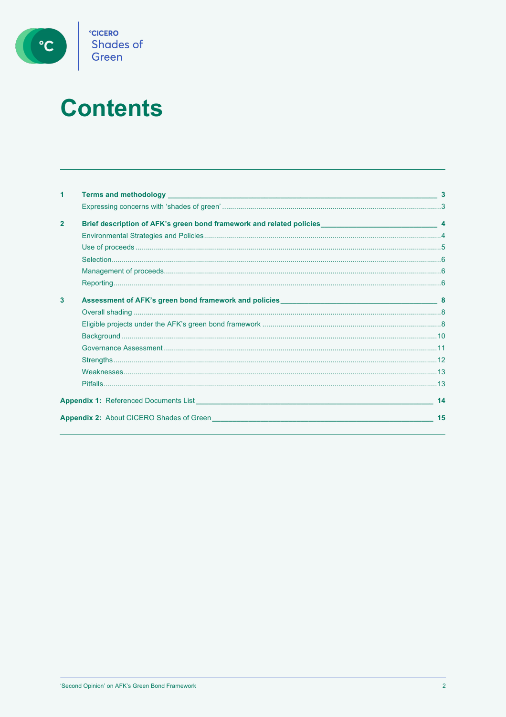

# **Contents**

| 1              |                                                                                                       |    |
|----------------|-------------------------------------------------------------------------------------------------------|----|
|                |                                                                                                       |    |
| $\overline{2}$ |                                                                                                       |    |
|                |                                                                                                       |    |
|                |                                                                                                       |    |
|                |                                                                                                       |    |
|                |                                                                                                       |    |
|                |                                                                                                       |    |
| 3              |                                                                                                       |    |
|                |                                                                                                       |    |
|                |                                                                                                       |    |
|                |                                                                                                       |    |
|                |                                                                                                       |    |
|                |                                                                                                       |    |
|                |                                                                                                       |    |
|                |                                                                                                       |    |
|                | <b>Appendix 1:</b> Referenced Documents List <b>Appendix 1:</b> Appendix 1: Referenced Documents List | 14 |
|                | <b>Appendix 2:</b> About CICERO Shades of Green                                                       | 15 |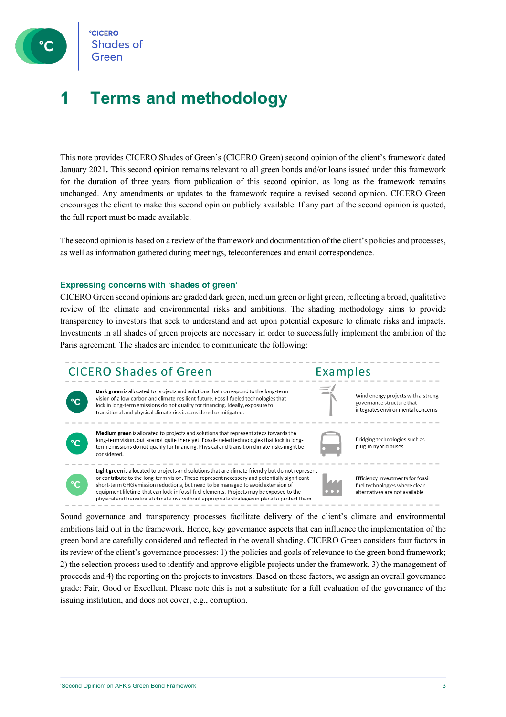

**CICERO Shades of** 

### **1 Terms and methodology**

This note provides CICERO Shades of Green's (CICERO Green) second opinion of the client's framework dated January 2021**.** This second opinion remains relevant to all green bonds and/or loans issued under this framework for the duration of three years from publication of this second opinion, as long as the framework remains unchanged. Any amendments or updates to the framework require a revised second opinion. CICERO Green encourages the client to make this second opinion publicly available. If any part of the second opinion is quoted, the full report must be made available.

The second opinion is based on a review of the framework and documentation of the client's policies and processes, as well as information gathered during meetings, teleconferences and email correspondence.

#### **Expressing concerns with 'shades of green'**

CICERO Green second opinions are graded dark green, medium green or light green, reflecting a broad, qualitative review of the climate and environmental risks and ambitions. The shading methodology aims to provide transparency to investors that seek to understand and act upon potential exposure to climate risks and impacts. Investments in all shades of green projects are necessary in order to successfully implement the ambition of the Paris agreement. The shades are intended to communicate the following:

### **CICERO Shades of Green**



Dark green is allocated to projects and solutions that correspond to the long-term vision of a low carbon and climate resilient future. Fossil-fueled technologies that lock in long-term emissions do not qualify for financing. Ideally, exposure to transitional and physical climate risk is considered or mitigated.



Medium green is allocated to projects and solutions that represent steps towards the long-term vision, but are not quite there yet. Fossil-fueled technologies that lock in longterm emissions do not qualify for financing. Physical and transition climate risks might be considered.

Light green is allocated to projects and solutions that are climate friendly but do not represent or contribute to the long-term vision. These represent necessary and potentially significant

short-term GHG emission reductions, but need to be managed to avoid extension of

equipment lifetime that can lock-in fossil fuel elements. Projects may be exposed to the

physical and transitional climate risk without appropriate strategies in place to protect them.



Examples

Bridging technologies such as plug-in hybrid buses

Wind energy projects with a strong

integrates environmental concerns

governance structure that

Efficiency investments for fossil fuel technologies where clean alternatives are not available

Sound governance and transparency processes facilitate delivery of the client's climate and environmental ambitions laid out in the framework. Hence, key governance aspects that can influence the implementation of the green bond are carefully considered and reflected in the overall shading. CICERO Green considers four factors in its review of the client's governance processes: 1) the policies and goals of relevance to the green bond framework; 2) the selection process used to identify and approve eligible projects under the framework, 3) the management of proceeds and 4) the reporting on the projects to investors. Based on these factors, we assign an overall governance grade: Fair, Good or Excellent. Please note this is not a substitute for a full evaluation of the governance of the issuing institution, and does not cover, e.g., corruption.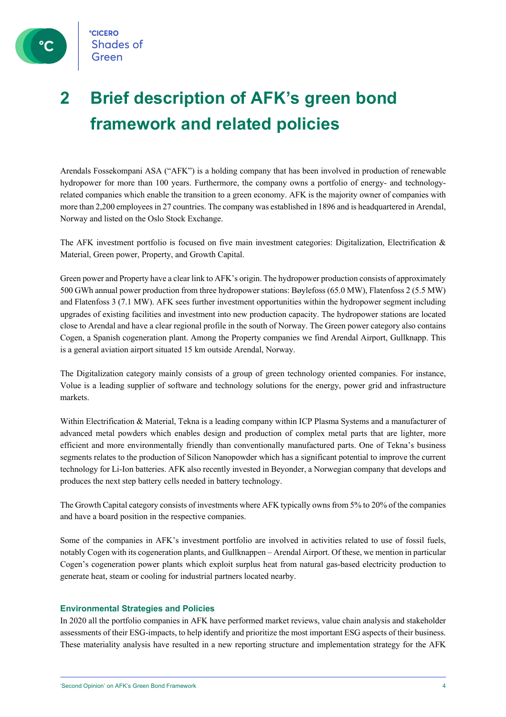

### **2 Brief description of AFK's green bond framework and related policies**

Arendals Fossekompani ASA ("AFK") is a holding company that has been involved in production of renewable hydropower for more than 100 years. Furthermore, the company owns a portfolio of energy- and technologyrelated companies which enable the transition to a green economy. AFK is the majority owner of companies with more than 2,200 employees in 27 countries. The company was established in 1896 and is headquartered in Arendal, Norway and listed on the Oslo Stock Exchange.

The AFK investment portfolio is focused on five main investment categories: Digitalization, Electrification & Material, Green power, Property, and Growth Capital.

Green power and Property have a clear link to AFK's origin. The hydropower production consists of approximately 500 GWh annual power production from three hydropower stations: Bøylefoss (65.0 MW), Flatenfoss 2 (5.5 MW) and Flatenfoss 3 (7.1 MW). AFK sees further investment opportunities within the hydropower segment including upgrades of existing facilities and investment into new production capacity. The hydropower stations are located close to Arendal and have a clear regional profile in the south of Norway. The Green power category also contains Cogen, a Spanish cogeneration plant. Among the Property companies we find Arendal Airport, Gullknapp. This is a general aviation airport situated 15 km outside Arendal, Norway.

The Digitalization category mainly consists of a group of green technology oriented companies. For instance, Volue is a leading supplier of software and technology solutions for the energy, power grid and infrastructure markets.

Within Electrification & Material, Tekna is a leading company within ICP Plasma Systems and a manufacturer of advanced metal powders which enables design and production of complex metal parts that are lighter, more efficient and more environmentally friendly than conventionally manufactured parts. One of Tekna's business segments relates to the production of Silicon Nanopowder which has a significant potential to improve the current technology for Li-Ion batteries. AFK also recently invested in Beyonder, a Norwegian company that develops and produces the next step battery cells needed in battery technology.

The Growth Capital category consists of investments where AFK typically owns from 5% to 20% of the companies and have a board position in the respective companies.

Some of the companies in AFK's investment portfolio are involved in activities related to use of fossil fuels, notably Cogen with its cogeneration plants, and Gullknappen – Arendal Airport. Of these, we mention in particular Cogen's cogeneration power plants which exploit surplus heat from natural gas-based electricity production to generate heat, steam or cooling for industrial partners located nearby.

### **Environmental Strategies and Policies**

In 2020 all the portfolio companies in AFK have performed market reviews, value chain analysis and stakeholder assessments of their ESG-impacts, to help identify and prioritize the most important ESG aspects of their business. These materiality analysis have resulted in a new reporting structure and implementation strategy for the AFK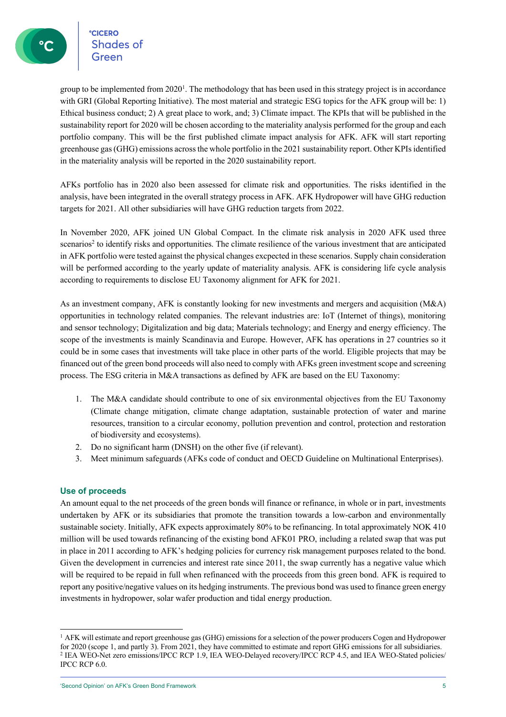**CICERO** °cicero<br>Shades of

group to be implemented from  $2020<sup>1</sup>$ . The methodology that has been used in this strategy project is in accordance with GRI (Global Reporting Initiative). The most material and strategic ESG topics for the AFK group will be: 1) Ethical business conduct; 2) A great place to work, and; 3) Climate impact. The KPIs that will be published in the sustainability report for 2020 will be chosen according to the materiality analysis performed for the group and each portfolio company. This will be the first published climate impact analysis for AFK. AFK will start reporting greenhouse gas (GHG) emissions across the whole portfolio in the 2021 sustainability report. Other KPIs identified in the materiality analysis will be reported in the 2020 sustainability report.

AFKs portfolio has in 2020 also been assessed for climate risk and opportunities. The risks identified in the analysis, have been integrated in the overall strategy process in AFK. AFK Hydropower will have GHG reduction targets for 2021. All other subsidiaries will have GHG reduction targets from 2022.

In November 2020, AFK joined UN Global Compact. In the climate risk analysis in 2020 AFK used three scenarios<sup>2</sup> to identify risks and opportunities. The climate resilience of the various investment that are anticipated in AFK portfolio were tested against the physical changes excpected in these scenarios. Supply chain consideration will be performed according to the yearly update of materiality analysis. AFK is considering life cycle analysis according to requirements to disclose EU Taxonomy alignment for AFK for 2021.

As an investment company, AFK is constantly looking for new investments and mergers and acquisition (M&A) opportunities in technology related companies. The relevant industries are: IoT (Internet of things), monitoring and sensor technology; Digitalization and big data; Materials technology; and Energy and energy efficiency. The scope of the investments is mainly Scandinavia and Europe. However, AFK has operations in 27 countries so it could be in some cases that investments will take place in other parts of the world. Eligible projects that may be financed out of the green bond proceeds will also need to comply with AFKs green investment scope and screening process. The ESG criteria in M&A transactions as defined by AFK are based on the EU Taxonomy:

- 1. The M&A candidate should contribute to one of six environmental objectives from the EU Taxonomy (Climate change mitigation, climate change adaptation, sustainable protection of water and marine resources, transition to a circular economy, pollution prevention and control, protection and restoration of biodiversity and ecosystems).
- 2. Do no significant harm (DNSH) on the other five (if relevant).
- 3. Meet minimum safeguards (AFKs code of conduct and OECD Guideline on Multinational Enterprises).

### **Use of proceeds**

An amount equal to the net proceeds of the green bonds will finance or refinance, in whole or in part, investments undertaken by AFK or its subsidiaries that promote the transition towards a low-carbon and environmentally sustainable society. Initially, AFK expects approximately 80% to be refinancing. In total approximately NOK 410 million will be used towards refinancing of the existing bond AFK01 PRO, including a related swap that was put in place in 2011 according to AFK's hedging policies for currency risk management purposes related to the bond. Given the development in currencies and interest rate since 2011, the swap currently has a negative value which will be required to be repaid in full when refinanced with the proceeds from this green bond. AFK is required to report any positive/negative values on its hedging instruments. The previous bond was used to finance green energy investments in hydropower, solar wafer production and tidal energy production.

 $<sup>1</sup>$  AFK will estimate and report greenhouse gas (GHG) emissions for a selection of the power producers Cogen and Hydropower</sup> for 2020 (scope 1, and partly 3). From 2021, they have committed to estimate and report GHG emissions for all subsidiaries. <sup>2</sup> IEA WEO-Net zero emissions/IPCC RCP 1.9, IEA WEO-Delayed recovery/IPCC RCP 4.5, and IEA WEO-Stated policies/ IPCC RCP 6.0.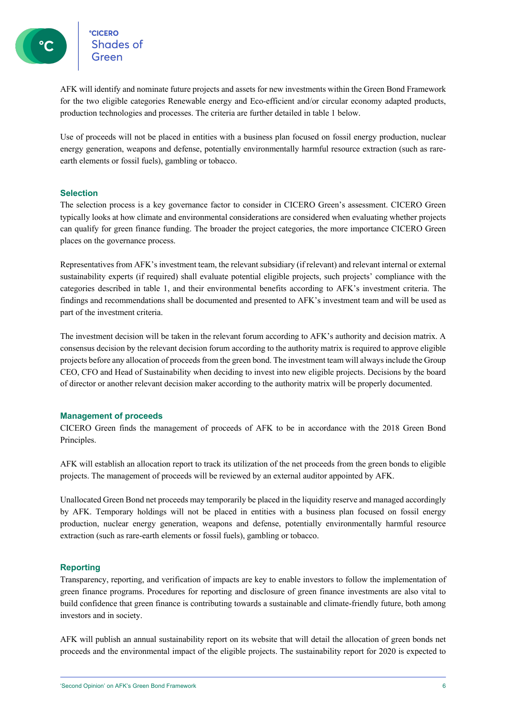°cic<mark>ero</mark><br>Shades of

AFK will identify and nominate future projects and assets for new investments within the Green Bond Framework for the two eligible categories Renewable energy and Eco-efficient and/or circular economy adapted products, production technologies and processes. The criteria are further detailed in table 1 below.

Use of proceeds will not be placed in entities with a business plan focused on fossil energy production, nuclear energy generation, weapons and defense, potentially environmentally harmful resource extraction (such as rareearth elements or fossil fuels), gambling or tobacco.

### **Selection**

The selection process is a key governance factor to consider in CICERO Green's assessment. CICERO Green typically looks at how climate and environmental considerations are considered when evaluating whether projects can qualify for green finance funding. The broader the project categories, the more importance CICERO Green places on the governance process.

Representatives from AFK's investment team, the relevant subsidiary (if relevant) and relevant internal or external sustainability experts (if required) shall evaluate potential eligible projects, such projects' compliance with the categories described in table 1, and their environmental benefits according to AFK's investment criteria. The findings and recommendations shall be documented and presented to AFK's investment team and will be used as part of the investment criteria.

The investment decision will be taken in the relevant forum according to AFK's authority and decision matrix. A consensus decision by the relevant decision forum according to the authority matrix is required to approve eligible projects before any allocation of proceedsfrom the green bond. The investment team will always include the Group CEO, CFO and Head of Sustainability when deciding to invest into new eligible projects. Decisions by the board of director or another relevant decision maker according to the authority matrix will be properly documented.

### **Management of proceeds**

CICERO Green finds the management of proceeds of AFK to be in accordance with the 2018 Green Bond Principles.

AFK will establish an allocation report to track its utilization of the net proceeds from the green bonds to eligible projects. The management of proceeds will be reviewed by an external auditor appointed by AFK.

Unallocated Green Bond net proceeds may temporarily be placed in the liquidity reserve and managed accordingly by AFK. Temporary holdings will not be placed in entities with a business plan focused on fossil energy production, nuclear energy generation, weapons and defense, potentially environmentally harmful resource extraction (such as rare-earth elements or fossil fuels), gambling or tobacco.

### **Reporting**

Transparency, reporting, and verification of impacts are key to enable investors to follow the implementation of green finance programs. Procedures for reporting and disclosure of green finance investments are also vital to build confidence that green finance is contributing towards a sustainable and climate-friendly future, both among investors and in society.

AFK will publish an annual sustainability report on its website that will detail the allocation of green bonds net proceeds and the environmental impact of the eligible projects. The sustainability report for 2020 is expected to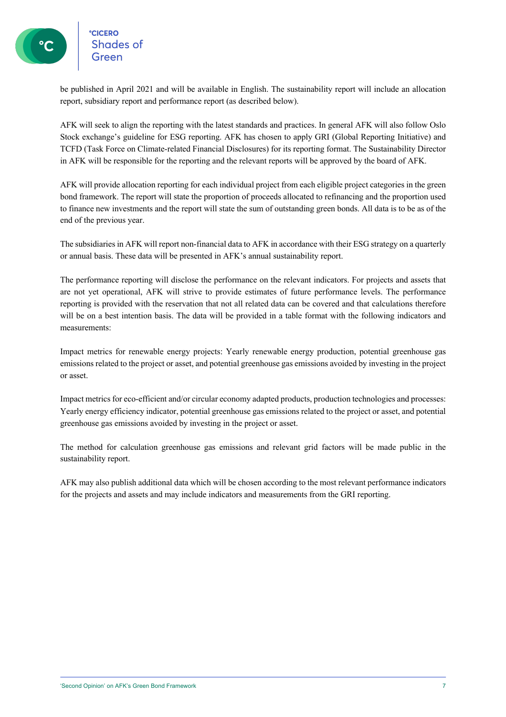°cicero<br>Shades of

be published in April 2021 and will be available in English. The sustainability report will include an allocation report, subsidiary report and performance report (as described below).

AFK will seek to align the reporting with the latest standards and practices. In general AFK will also follow Oslo Stock exchange's guideline for ESG reporting. AFK has chosen to apply GRI (Global Reporting Initiative) and TCFD (Task Force on Climate-related Financial Disclosures) for its reporting format. The Sustainability Director in AFK will be responsible for the reporting and the relevant reports will be approved by the board of AFK.

AFK will provide allocation reporting for each individual project from each eligible project categories in the green bond framework. The report will state the proportion of proceeds allocated to refinancing and the proportion used to finance new investments and the report will state the sum of outstanding green bonds. All data is to be as of the end of the previous year.

The subsidiaries in AFK will report non-financial data to AFK in accordance with their ESG strategy on a quarterly or annual basis. These data will be presented in AFK's annual sustainability report.

The performance reporting will disclose the performance on the relevant indicators. For projects and assets that are not yet operational, AFK will strive to provide estimates of future performance levels. The performance reporting is provided with the reservation that not all related data can be covered and that calculations therefore will be on a best intention basis. The data will be provided in a table format with the following indicators and measurements:

Impact metrics for renewable energy projects: Yearly renewable energy production, potential greenhouse gas emissions related to the project or asset, and potential greenhouse gas emissions avoided by investing in the project or asset.

Impact metrics for eco-efficient and/or circular economy adapted products, production technologies and processes: Yearly energy efficiency indicator, potential greenhouse gas emissions related to the project or asset, and potential greenhouse gas emissions avoided by investing in the project or asset.

The method for calculation greenhouse gas emissions and relevant grid factors will be made public in the sustainability report.

AFK may also publish additional data which will be chosen according to the most relevant performance indicators for the projects and assets and may include indicators and measurements from the GRI reporting.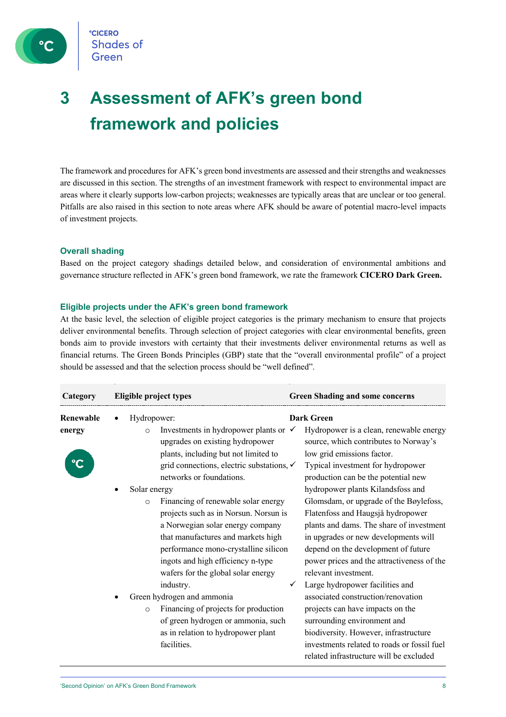

### **3 Assessment of AFK's green bond framework and policies**

The framework and procedures for AFK's green bond investments are assessed and their strengths and weaknesses are discussed in this section. The strengths of an investment framework with respect to environmental impact are areas where it clearly supports low-carbon projects; weaknesses are typically areas that are unclear or too general. Pitfalls are also raised in this section to note areas where AFK should be aware of potential macro-level impacts of investment projects.

### **Overall shading**

Based on the project category shadings detailed below, and consideration of environmental ambitions and governance structure reflected in AFK's green bond framework, we rate the framework **CICERO Dark Green.**

### **Eligible projects under the AFK's green bond framework**

At the basic level, the selection of eligible project categories is the primary mechanism to ensure that projects deliver environmental benefits. Through selection of project categories with clear environmental benefits, green bonds aim to provide investors with certainty that their investments deliver environmental returns as well as financial returns. The Green Bonds Principles (GBP) state that the "overall environmental profile" of a project should be assessed and that the selection process should be "well defined".

| Category  | Eligible project types                                                                                                                                                                                          | <b>Green Shading and some concerns</b>                                                                                                                                                                                                                                      |
|-----------|-----------------------------------------------------------------------------------------------------------------------------------------------------------------------------------------------------------------|-----------------------------------------------------------------------------------------------------------------------------------------------------------------------------------------------------------------------------------------------------------------------------|
| Renewable | Hydropower:                                                                                                                                                                                                     | <b>Dark Green</b>                                                                                                                                                                                                                                                           |
| energy    | Investments in hydropower plants or $\checkmark$<br>$\circ$<br>upgrades on existing hydropower<br>plants, including but not limited to<br>grid connections, electric substations, ✓<br>networks or foundations. | Hydropower is a clean, renewable energy<br>source, which contributes to Norway's<br>low grid emissions factor.<br>Typical investment for hydropower<br>production can be the potential new                                                                                  |
|           | Solar energy                                                                                                                                                                                                    | hydropower plants Kilandsfoss and                                                                                                                                                                                                                                           |
|           | Financing of renewable solar energy<br>$\circ$<br>projects such as in Norsun. Norsun is<br>a Norwegian solar energy company<br>that manufactures and markets high                                               | Glomsdam, or upgrade of the Bøylefoss,<br>Flatenfoss and Haugsjå hydropower<br>plants and dams. The share of investment<br>in upgrades or new developments will                                                                                                             |
|           | performance mono-crystalline silicon<br>ingots and high efficiency n-type<br>wafers for the global solar energy                                                                                                 | depend on the development of future<br>power prices and the attractiveness of the<br>relevant investment.                                                                                                                                                                   |
|           | industry.<br>Green hydrogen and ammonia<br>Financing of projects for production<br>$\circ$<br>of green hydrogen or ammonia, such<br>as in relation to hydropower plant<br>facilities.                           | Large hydropower facilities and<br>associated construction/renovation<br>projects can have impacts on the<br>surrounding environment and<br>biodiversity. However, infrastructure<br>investments related to roads or fossil fuel<br>related infrastructure will be excluded |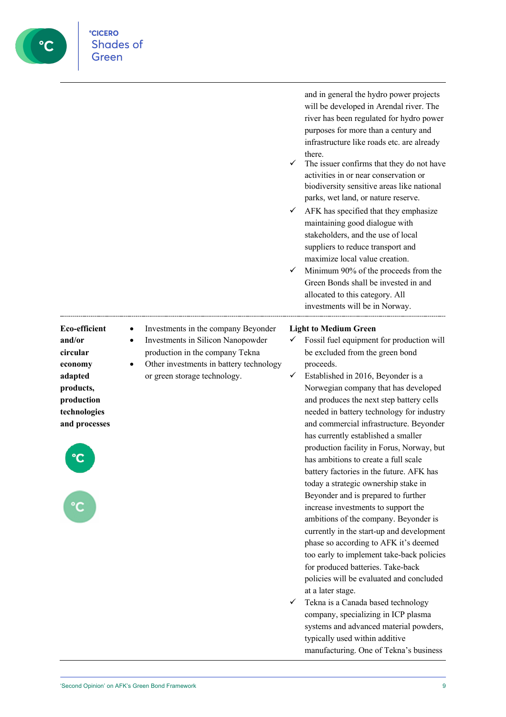

and in general the hydro power projects will be developed in Arendal river. The river has been regulated for hydro power purposes for more than a century and infrastructure like roads etc. are already

- The issuer confirms that they do not have activities in or near conservation or biodiversity sensitive areas like national parks, wet land, or nature reserve.
- $\checkmark$  AFK has specified that they emphasize maintaining good dialogue with stakeholders, and the use of local suppliers to reduce transport and maximize local value creation.
- $\checkmark$  Minimum 90% of the proceeds from the Green Bonds shall be invested in and allocated to this category. All investments will be in Norway.

at a later stage. ü Tekna is a Canada based technology company, specializing in ICP plasma systems and advanced material powders, typically used within additive manufacturing. One of Tekna's business

policies will be evaluated and concluded

**CICERO Shades of** Green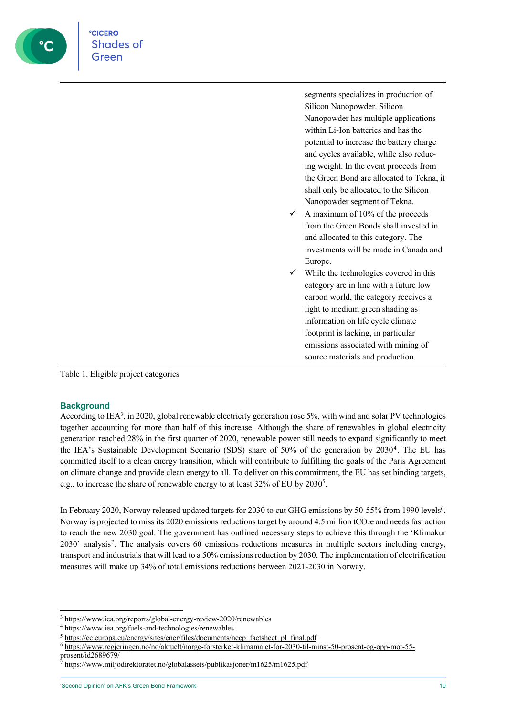

Table 1. Eligible project categories

### **Background**

According to IEA<sup>3</sup>, in 2020, global renewable electricity generation rose 5%, with wind and solar PV technologies together accounting for more than half of this increase. Although the share of renewables in global electricity generation reached 28% in the first quarter of 2020, renewable power still needs to expand significantly to meet the IEA's Sustainable Development Scenario (SDS) share of 50% of the generation by 20304. The EU has committed itself to a clean energy transition, which will contribute to fulfilling the goals of the Paris Agreement on climate change and provide clean energy to all. To deliver on this commitment, the EU has set binding targets, e.g., to increase the share of renewable energy to at least 32% of EU by 2030<sup>5</sup>.

In February 2020, Norway released updated targets for 2030 to cut GHG emissions by 50-55% from 1990 levels<sup>6</sup>. Norway is projected to miss its 2020 emissions reductions target by around 4.5 million tCO2e and needs fast action to reach the new 2030 goal. The government has outlined necessary steps to achieve this through the 'Klimakur 2030' analysis<sup>7</sup>. The analysis covers 60 emissions reductions measures in multiple sectors including energy, transport and industrials that will lead to a 50% emissions reduction by 2030. The implementation of electrification measures will make up 34% of total emissions reductions between 2021-2030 in Norway.

<sup>3</sup> https://www.iea.org/reports/global-energy-review-2020/renewables

<sup>4</sup> https://www.iea.org/fuels-and-technologies/renewables

<sup>5</sup> https://ec.europa.eu/energy/sites/ener/files/documents/necp\_factsheet\_pl\_final.pdf

<sup>6</sup> https://www.regjeringen.no/no/aktuelt/norge-forsterker-klimamalet-for-2030-til-minst-50-prosent-og-opp-mot-55 prosent/id2689679/

<sup>7</sup> https://www.miljodirektoratet.no/globalassets/publikasjoner/m1625/m1625.pdf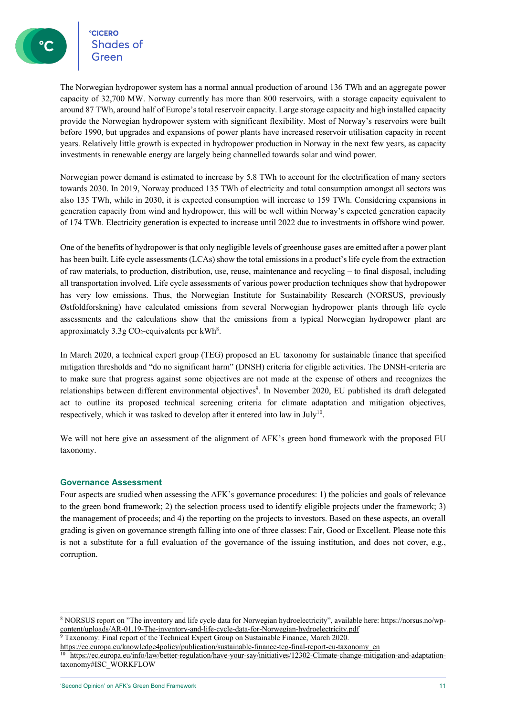**CICERO**<br>Shades of

The Norwegian hydropower system has a normal annual production of around 136 TWh and an aggregate power capacity of 32,700 MW. Norway currently has more than 800 reservoirs, with a storage capacity equivalent to around 87 TWh, around half of Europe's total reservoir capacity. Large storage capacity and high installed capacity provide the Norwegian hydropower system with significant flexibility. Most of Norway's reservoirs were built before 1990, but upgrades and expansions of power plants have increased reservoir utilisation capacity in recent years. Relatively little growth is expected in hydropower production in Norway in the next few years, as capacity investments in renewable energy are largely being channelled towards solar and wind power.

Norwegian power demand is estimated to increase by 5.8 TWh to account for the electrification of many sectors towards 2030. In 2019, Norway produced 135 TWh of electricity and total consumption amongst all sectors was also 135 TWh, while in 2030, it is expected consumption will increase to 159 TWh. Considering expansions in generation capacity from wind and hydropower, this will be well within Norway's expected generation capacity of 174 TWh. Electricity generation is expected to increase until 2022 due to investments in offshore wind power.

One of the benefits of hydropower is that only negligible levels of greenhouse gases are emitted after a power plant has been built. Life cycle assessments (LCAs) show the total emissions in a product's life cycle from the extraction of raw materials, to production, distribution, use, reuse, maintenance and recycling – to final disposal, including all transportation involved. Life cycle assessments of various power production techniques show that hydropower has very low emissions. Thus, the Norwegian Institute for Sustainability Research (NORSUS, previously Østfoldforskning) have calculated emissions from several Norwegian hydropower plants through life cycle assessments and the calculations show that the emissions from a typical Norwegian hydropower plant are approximately  $3.3g$  CO<sub>2</sub>-equivalents per kWh<sup>8</sup>.

In March 2020, a technical expert group (TEG) proposed an EU taxonomy for sustainable finance that specified mitigation thresholds and "do no significant harm" (DNSH) criteria for eligible activities. The DNSH-criteria are to make sure that progress against some objectives are not made at the expense of others and recognizes the relationships between different environmental objectives<sup>9</sup>. In November 2020, EU published its draft delegated act to outline its proposed technical screening criteria for climate adaptation and mitigation objectives, respectively, which it was tasked to develop after it entered into law in July<sup>10</sup>.

We will not here give an assessment of the alignment of AFK's green bond framework with the proposed EU taxonomy.

### **Governance Assessment**

Four aspects are studied when assessing the AFK's governance procedures: 1) the policies and goals of relevance to the green bond framework; 2) the selection process used to identify eligible projects under the framework; 3) the management of proceeds; and 4) the reporting on the projects to investors. Based on these aspects, an overall grading is given on governance strength falling into one of three classes: Fair, Good or Excellent. Please note this is not a substitute for a full evaluation of the governance of the issuing institution, and does not cover, e.g., corruption.

<sup>9</sup> Taxonomy: Final report of the Technical Expert Group on Sustainable Finance, March 2020.

<sup>8</sup> NORSUS report on "The inventory and life cycle data for Norwegian hydroelectricity", available here: https://norsus.no/wpcontent/uploads/AR-01.19-The-inventory-and-life-cycle-data-for-Norwegian-hydroelectricity.pdf

https://ec.europa.eu/knowledge4policy/publication/sustainable-finance-teg-final-report-eu-taxonomy\_en<br><sup>10</sup> https://ec.europa.eu/info/law/better-regulation/have-your-say/initiatives/12302-Climate-change-mitigation-and-adapt taxonomy#ISC\_WORKFLOW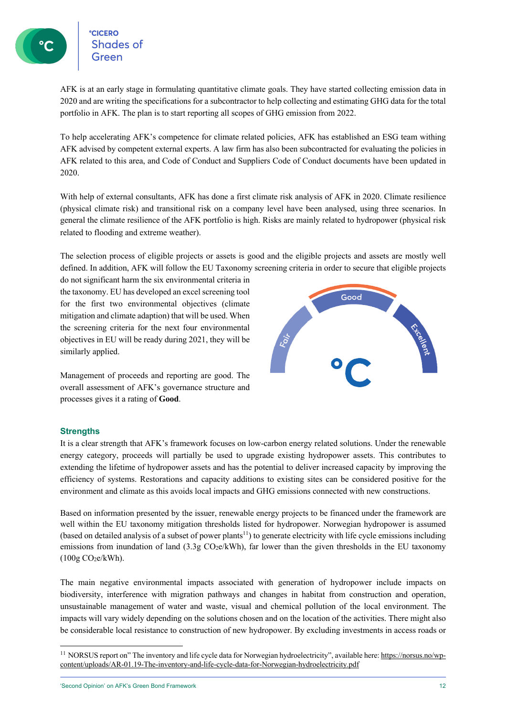Shades of

AFK is at an early stage in formulating quantitative climate goals. They have started collecting emission data in 2020 and are writing the specifications for a subcontractor to help collecting and estimating GHG data for the total portfolio in AFK. The plan is to start reporting all scopes of GHG emission from 2022.

To help accelerating AFK's competence for climate related policies, AFK has established an ESG team withing AFK advised by competent external experts. A law firm has also been subcontracted for evaluating the policies in AFK related to this area, and Code of Conduct and Suppliers Code of Conduct documents have been updated in 2020.

With help of external consultants, AFK has done a first climate risk analysis of AFK in 2020. Climate resilience (physical climate risk) and transitional risk on a company level have been analysed, using three scenarios. In general the climate resilience of the AFK portfolio is high. Risks are mainly related to hydropower (physical risk related to flooding and extreme weather).

The selection process of eligible projects or assets is good and the eligible projects and assets are mostly well defined. In addition, AFK will follow the EU Taxonomy screening criteria in order to secure that eligible projects

do not significant harm the six environmental criteria in the taxonomy. EU has developed an excel screening tool for the first two environmental objectives (climate mitigation and climate adaption) that will be used. When the screening criteria for the next four environmental objectives in EU will be ready during 2021, they will be similarly applied.

Management of proceeds and reporting are good. The overall assessment of AFK's governance structure and processes gives it a rating of **Good**.



### **Strengths**

It is a clear strength that AFK's framework focuses on low-carbon energy related solutions. Under the renewable energy category, proceeds will partially be used to upgrade existing hydropower assets. This contributes to extending the lifetime of hydropower assets and has the potential to deliver increased capacity by improving the efficiency of systems. Restorations and capacity additions to existing sites can be considered positive for the environment and climate as this avoids local impacts and GHG emissions connected with new constructions.

Based on information presented by the issuer, renewable energy projects to be financed under the framework are well within the EU taxonomy mitigation thresholds listed for hydropower. Norwegian hydropower is assumed (based on detailed analysis of a subset of power plants<sup>11</sup>) to generate electricity with life cycle emissions including emissions from inundation of land  $(3.3g \text{ CO}_2e/kWh)$ , far lower than the given thresholds in the EU taxonomy  $(100g CO<sub>2</sub>e/kWh).$ 

The main negative environmental impacts associated with generation of hydropower include impacts on biodiversity, interference with migration pathways and changes in habitat from construction and operation, unsustainable management of water and waste, visual and chemical pollution of the local environment. The impacts will vary widely depending on the solutions chosen and on the location of the activities. There might also be considerable local resistance to construction of new hydropower. By excluding investments in access roads or

<sup>&</sup>lt;sup>11</sup> NORSUS report on" The inventory and life cycle data for Norwegian hydroelectricity", available here: https://norsus.no/wpcontent/uploads/AR-01.19-The-inventory-and-life-cycle-data-for-Norwegian-hydroelectricity.pdf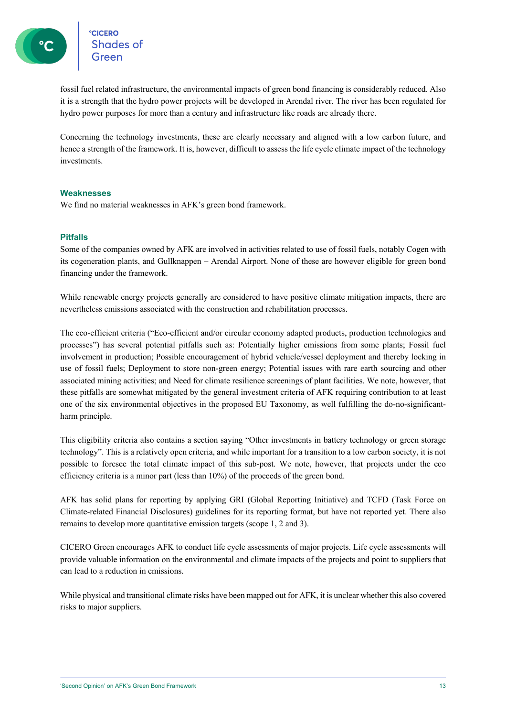°<mark>cicero</mark><br>Shades of

fossil fuel related infrastructure, the environmental impacts of green bond financing is considerably reduced. Also it is a strength that the hydro power projects will be developed in Arendal river. The river has been regulated for hydro power purposes for more than a century and infrastructure like roads are already there.

Concerning the technology investments, these are clearly necessary and aligned with a low carbon future, and hence a strength of the framework. It is, however, difficult to assess the life cycle climate impact of the technology investments.

### **Weaknesses**

We find no material weaknesses in AFK's green bond framework.

### **Pitfalls**

Some of the companies owned by AFK are involved in activities related to use of fossil fuels, notably Cogen with its cogeneration plants, and Gullknappen – Arendal Airport. None of these are however eligible for green bond financing under the framework.

While renewable energy projects generally are considered to have positive climate mitigation impacts, there are nevertheless emissions associated with the construction and rehabilitation processes.

The eco-efficient criteria ("Eco-efficient and/or circular economy adapted products, production technologies and processes") has several potential pitfalls such as: Potentially higher emissions from some plants; Fossil fuel involvement in production; Possible encouragement of hybrid vehicle/vessel deployment and thereby locking in use of fossil fuels; Deployment to store non-green energy; Potential issues with rare earth sourcing and other associated mining activities; and Need for climate resilience screenings of plant facilities. We note, however, that these pitfalls are somewhat mitigated by the general investment criteria of AFK requiring contribution to at least one of the six environmental objectives in the proposed EU Taxonomy, as well fulfilling the do-no-significantharm principle.

This eligibility criteria also contains a section saying "Other investments in battery technology or green storage technology". This is a relatively open criteria, and while important for a transition to a low carbon society, it is not possible to foresee the total climate impact of this sub-post. We note, however, that projects under the eco efficiency criteria is a minor part (less than 10%) of the proceeds of the green bond.

AFK has solid plans for reporting by applying GRI (Global Reporting Initiative) and TCFD (Task Force on Climate-related Financial Disclosures) guidelines for its reporting format, but have not reported yet. There also remains to develop more quantitative emission targets (scope 1, 2 and 3).

CICERO Green encourages AFK to conduct life cycle assessments of major projects. Life cycle assessments will provide valuable information on the environmental and climate impacts of the projects and point to suppliers that can lead to a reduction in emissions.

While physical and transitional climate risks have been mapped out for AFK, it is unclear whether this also covered risks to major suppliers.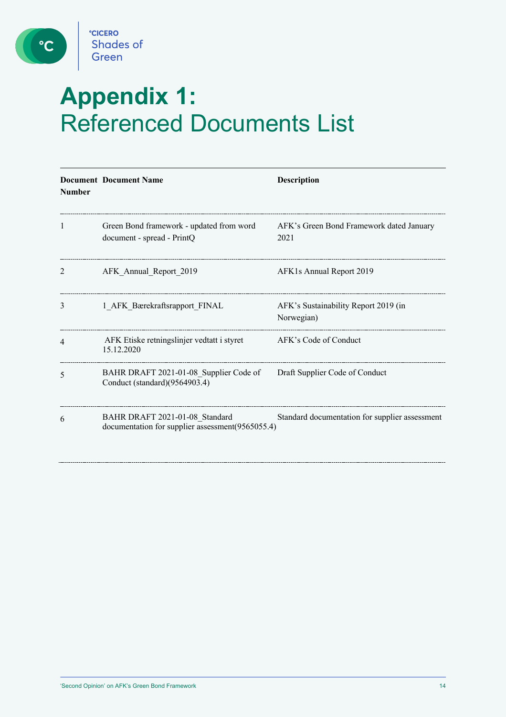

 $\boxed{\text{c}}$ 

# **Appendix 1:**  Referenced Documents List

| <b>Number</b>            | <b>Document Document Name</b>                                                      | <b>Description</b>                                 |
|--------------------------|------------------------------------------------------------------------------------|----------------------------------------------------|
| 1                        | Green Bond framework - updated from word<br>document - spread - PrintQ             | AFK's Green Bond Framework dated January<br>2021   |
| 2                        | AFK Annual Report 2019                                                             | AFK1s Annual Report 2019                           |
| 3                        | 1 AFK Bærekraftsrapport FINAL                                                      | AFK's Sustainability Report 2019 (in<br>Norwegian) |
| $\overline{\mathcal{A}}$ | AFK Etiske retningslinjer vedtatt i styret<br>15.12.2020                           | AFK's Code of Conduct                              |
| 5                        | BAHR DRAFT 2021-01-08_Supplier Code of<br>Conduct (standard)(9564903.4)            | Draft Supplier Code of Conduct                     |
| 6                        | BAHR DRAFT 2021-01-08 Standard<br>documentation for supplier assessment(9565055.4) | Standard documentation for supplier assessment     |